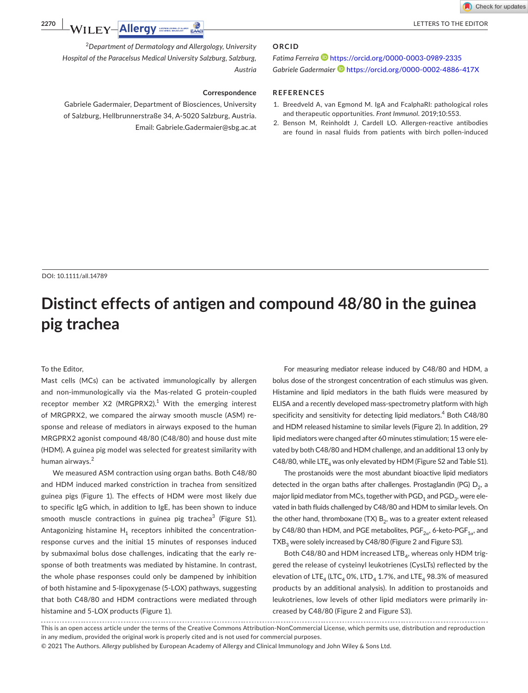**2270 MILEY Allergy** *Reserved by EARCH* 

2 *Department of Dermatology and Allergology, University Hospital of the Paracelsus Medical University Salzburg, Salzburg, Austria*

**ORCID** *Fatima Ferreira* <https://orcid.org/0000-0003-0989-2335> *Gabriele Gadermaie[r](https://orcid.org/0000-0002-4886-417X)* <https://orcid.org/0000-0002-4886-417X>

## **REFERENCES**

**Correspondence**

## Gabriele Gadermaier, Department of Biosciences, University of Salzburg, Hellbrunnerstraße 34, A-5020 Salzburg, Austria. Email: [Gabriele.Gadermaier@sbg.ac.at](mailto:Gabriele.Gadermaier@sbg.ac.at)

#### 1. Breedveld A, van Egmond M. IgA and FcalphaRI: pathological roles and therapeutic opportunities. *Front Immunol*. 2019;10:553.

2. Benson M, Reinholdt J, Cardell LO. Allergen-reactive antibodies are found in nasal fluids from patients with birch pollen-induced

DOI: 10.1111/all.14789

# **Distinct effects of antigen and compound 48/80 in the guinea pig trachea**

#### To the Editor,

Mast cells (MCs) can be activated immunologically by allergen and non-immunologically via the Mas-related G protein-coupled receptor member  $X2$  (MRGPRX2).<sup>1</sup> With the emerging interest of MRGPRX2, we compared the airway smooth muscle (ASM) response and release of mediators in airways exposed to the human MRGPRX2 agonist compound 48/80 (C48/80) and house dust mite (HDM). A guinea pig model was selected for greatest similarity with human airways.<sup>2</sup>

We measured ASM contraction using organ baths. Both C48/80 and HDM induced marked constriction in trachea from sensitized guinea pigs (Figure 1). The effects of HDM were most likely due to specific IgG which, in addition to IgE, has been shown to induce smooth muscle contractions in guinea pig trachea<sup>3</sup> (Figure S1). Antagonizing histamine  $H_1$  receptors inhibited the concentrationresponse curves and the initial 15 minutes of responses induced by submaximal bolus dose challenges, indicating that the early response of both treatments was mediated by histamine. In contrast, the whole phase responses could only be dampened by inhibition of both histamine and 5-lipoxygenase (5-LOX) pathways, suggesting that both C48/80 and HDM contractions were mediated through histamine and 5-LOX products (Figure 1).

For measuring mediator release induced by C48/80 and HDM, a bolus dose of the strongest concentration of each stimulus was given. Histamine and lipid mediators in the bath fluids were measured by ELISA and a recently developed mass-spectrometry platform with high specificity and sensitivity for detecting lipid mediators.<sup>4</sup> Both C48/80 and HDM released histamine to similar levels (Figure 2). In addition, 29 lipid mediators were changed after 60 minutes stimulation; 15 were elevated by both C48/80 and HDM challenge, and an additional 13 only by C48/80, while LTE<sub> $4$ </sub> was only elevated by HDM (Figure S2 and Table S1).

The prostanoids were the most abundant bioactive lipid mediators detected in the organ baths after challenges. Prostaglandin (PG)  $D_2$ , a major lipid mediator from MCs, together with  $PGD<sub>1</sub>$  and  $PGD<sub>3</sub>$ , were elevated in bath fluids challenged by C48/80 and HDM to similar levels. On the other hand, thromboxane (TX)  $B_2$ , was to a greater extent released by C48/80 than HDM, and PGE metabolites,  $PGF_{2\alpha}$ , 6-keto-PGF<sub>1 $\alpha$ </sub>, and  $TXB<sub>3</sub>$  were solely increased by C48/80 (Figure 2 and Figure S3).

Both C48/80 and HDM increased LTB<sub>4</sub>, whereas only HDM triggered the release of cysteinyl leukotrienes (CysLTs) reflected by the elevation of LTE<sub>4</sub> (LTC<sub>4</sub> 0%, LTD<sub>4</sub> 1.7%, and LTE<sub>4</sub> 98.3% of measured products by an additional analysis). In addition to prostanoids and leukotrienes, low levels of other lipid mediators were primarily increased by C48/80 (Figure 2 and Figure S3).

This is an open access article under the terms of the [Creative Commons Attribution-NonCommercial](http://creativecommons.org/licenses/by-nc/4.0/) License, which permits use, distribution and reproduction in any medium, provided the original work is properly cited and is not used for commercial purposes.

<sup>© 2021</sup> The Authors. *Allergy* published by European Academy of Allergy and Clinical Immunology and John Wiley & Sons Ltd.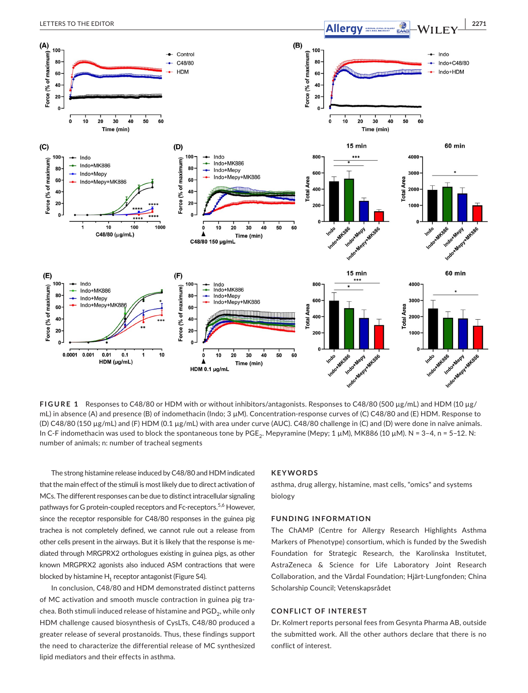

**FIGURE 1** Responses to C48/80 or HDM with or without inhibitors/antagonists. Responses to C48/80 (500 µg/mL) and HDM (10 µg/ mL) in absence (A) and presence (B) of indomethacin (Indo; 3 µM). Concentration-response curves of (C) C48/80 and (E) HDM. Response to (D) C48/80 (150 µg/mL) and (F) HDM (0.1 µg/mL) with area under curve (AUC). C48/80 challenge in (C) and (D) were done in naïve animals. In C-F indomethacin was used to block the spontaneous tone by PGE<sub>2</sub>. Mepyramine (Mepy; 1 µM), MK886 (10 µM). N = 3-4, n = 5-12. N: number of animals; n: number of tracheal segments

The strong histamine release induced by C48/80 and HDM indicated that the main effect of the stimuli is most likely due to direct activation of MCs. The different responses can be due to distinct intracellular signaling pathways for G protein-coupled receptors and Fc-receptors.<sup>5,6</sup> However, since the receptor responsible for C48/80 responses in the guinea pig trachea is not completely defined, we cannot rule out a release from other cells present in the airways. But it is likely that the response is mediated through MRGPRX2 orthologues existing in guinea pigs, as other known MRGPRX2 agonists also induced ASM contractions that were blocked by histamine  $H_1$  receptor antagonist (Figure S4).

In conclusion, C48/80 and HDM demonstrated distinct patterns of MC activation and smooth muscle contraction in guinea pig trachea. Both stimuli induced release of histamine and  $PGD<sub>2</sub>$ , while only HDM challenge caused biosynthesis of CysLTs, C48/80 produced a greater release of several prostanoids. Thus, these findings support the need to characterize the differential release of MC synthesized lipid mediators and their effects in asthma.

#### **KEYWORDS**

asthma, drug allergy, histamine, mast cells, "omics" and systems biology

#### **FUNDING INFORMATION**

The ChAMP (Centre for Allergy Research Highlights Asthma Markers of Phenotype) consortium, which is funded by the Swedish Foundation for Strategic Research, the Karolinska Institutet, AstraZeneca & Science for Life Laboratory Joint Research Collaboration, and the Vårdal Foundation; Hjärt-Lungfonden; China Scholarship Council; Vetenskapsrådet

## **CONFLICT OF INTEREST**

Dr. Kolmert reports personal fees from Gesynta Pharma AB, outside the submitted work. All the other authors declare that there is no conflict of interest.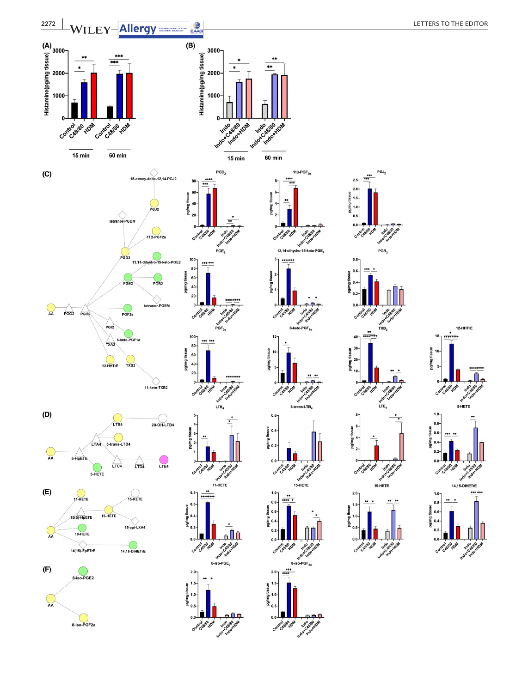